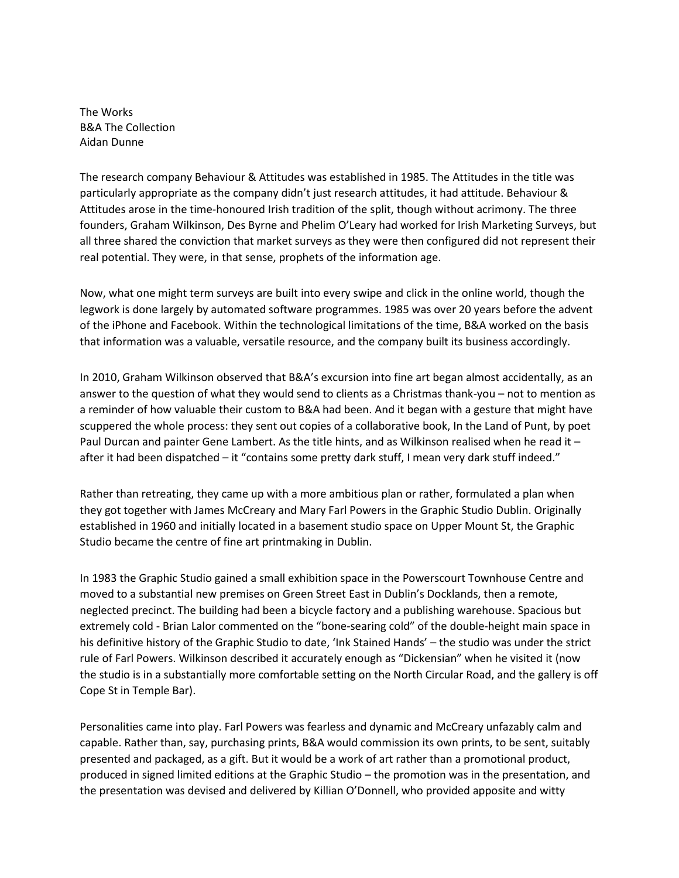The Works B&A The Collection Aidan Dunne

The research company Behaviour & Attitudes was established in 1985. The Attitudes in the title was particularly appropriate as the company didn't just research attitudes, it had attitude. Behaviour & Attitudes arose in the time-honoured Irish tradition of the split, though without acrimony. The three founders, Graham Wilkinson, Des Byrne and Phelim O'Leary had worked for Irish Marketing Surveys, but all three shared the conviction that market surveys as they were then configured did not represent their real potential. They were, in that sense, prophets of the information age.

Now, what one might term surveys are built into every swipe and click in the online world, though the legwork is done largely by automated software programmes. 1985 was over 20 years before the advent of the iPhone and Facebook. Within the technological limitations of the time, B&A worked on the basis that information was a valuable, versatile resource, and the company built its business accordingly.

In 2010, Graham Wilkinson observed that B&A's excursion into fine art began almost accidentally, as an answer to the question of what they would send to clients as a Christmas thank-you – not to mention as a reminder of how valuable their custom to B&A had been. And it began with a gesture that might have scuppered the whole process: they sent out copies of a collaborative book, In the Land of Punt, by poet Paul Durcan and painter Gene Lambert. As the title hints, and as Wilkinson realised when he read it – after it had been dispatched – it "contains some pretty dark stuff, I mean very dark stuff indeed."

Rather than retreating, they came up with a more ambitious plan or rather, formulated a plan when they got together with James McCreary and Mary Farl Powers in the Graphic Studio Dublin. Originally established in 1960 and initially located in a basement studio space on Upper Mount St, the Graphic Studio became the centre of fine art printmaking in Dublin.

In 1983 the Graphic Studio gained a small exhibition space in the Powerscourt Townhouse Centre and moved to a substantial new premises on Green Street East in Dublin's Docklands, then a remote, neglected precinct. The building had been a bicycle factory and a publishing warehouse. Spacious but extremely cold - Brian Lalor commented on the "bone-searing cold" of the double-height main space in his definitive history of the Graphic Studio to date, 'Ink Stained Hands' – the studio was under the strict rule of Farl Powers. Wilkinson described it accurately enough as "Dickensian" when he visited it (now the studio is in a substantially more comfortable setting on the North Circular Road, and the gallery is off Cope St in Temple Bar).

Personalities came into play. Farl Powers was fearless and dynamic and McCreary unfazably calm and capable. Rather than, say, purchasing prints, B&A would commission its own prints, to be sent, suitably presented and packaged, as a gift. But it would be a work of art rather than a promotional product, produced in signed limited editions at the Graphic Studio – the promotion was in the presentation, and the presentation was devised and delivered by Killian O'Donnell, who provided apposite and witty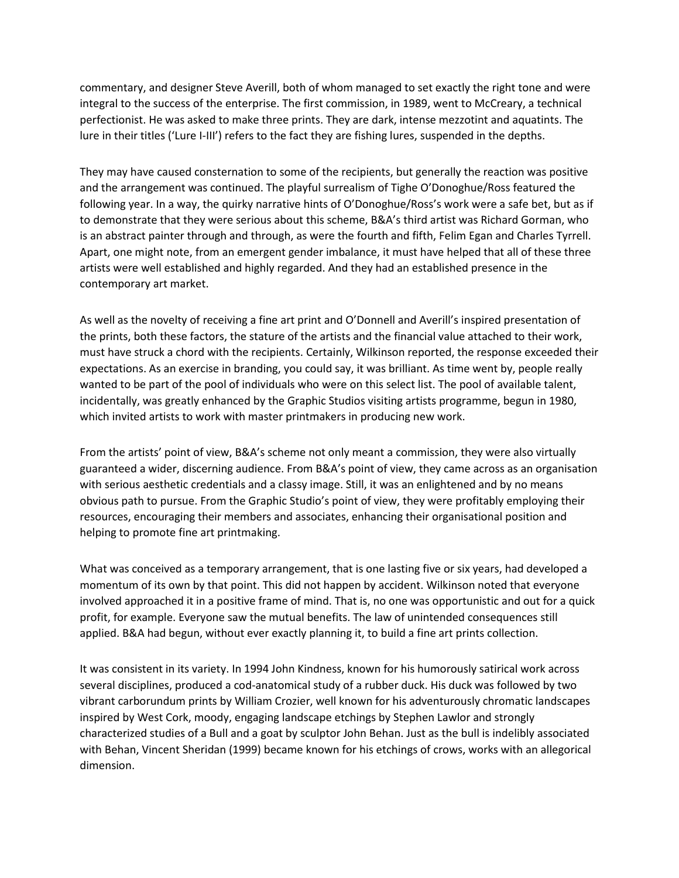commentary, and designer Steve Averill, both of whom managed to set exactly the right tone and were integral to the success of the enterprise. The first commission, in 1989, went to McCreary, a technical perfectionist. He was asked to make three prints. They are dark, intense mezzotint and aquatints. The lure in their titles ('Lure I-III') refers to the fact they are fishing lures, suspended in the depths.

They may have caused consternation to some of the recipients, but generally the reaction was positive and the arrangement was continued. The playful surrealism of Tighe O'Donoghue/Ross featured the following year. In a way, the quirky narrative hints of O'Donoghue/Ross's work were a safe bet, but as if to demonstrate that they were serious about this scheme, B&A's third artist was Richard Gorman, who is an abstract painter through and through, as were the fourth and fifth, Felim Egan and Charles Tyrrell. Apart, one might note, from an emergent gender imbalance, it must have helped that all of these three artists were well established and highly regarded. And they had an established presence in the contemporary art market.

As well as the novelty of receiving a fine art print and O'Donnell and Averill's inspired presentation of the prints, both these factors, the stature of the artists and the financial value attached to their work, must have struck a chord with the recipients. Certainly, Wilkinson reported, the response exceeded their expectations. As an exercise in branding, you could say, it was brilliant. As time went by, people really wanted to be part of the pool of individuals who were on this select list. The pool of available talent, incidentally, was greatly enhanced by the Graphic Studios visiting artists programme, begun in 1980, which invited artists to work with master printmakers in producing new work.

From the artists' point of view, B&A's scheme not only meant a commission, they were also virtually guaranteed a wider, discerning audience. From B&A's point of view, they came across as an organisation with serious aesthetic credentials and a classy image. Still, it was an enlightened and by no means obvious path to pursue. From the Graphic Studio's point of view, they were profitably employing their resources, encouraging their members and associates, enhancing their organisational position and helping to promote fine art printmaking.

What was conceived as a temporary arrangement, that is one lasting five or six years, had developed a momentum of its own by that point. This did not happen by accident. Wilkinson noted that everyone involved approached it in a positive frame of mind. That is, no one was opportunistic and out for a quick profit, for example. Everyone saw the mutual benefits. The law of unintended consequences still applied. B&A had begun, without ever exactly planning it, to build a fine art prints collection.

It was consistent in its variety. In 1994 John Kindness, known for his humorously satirical work across several disciplines, produced a cod-anatomical study of a rubber duck. His duck was followed by two vibrant carborundum prints by William Crozier, well known for his adventurously chromatic landscapes inspired by West Cork, moody, engaging landscape etchings by Stephen Lawlor and strongly characterized studies of a Bull and a goat by sculptor John Behan. Just as the bull is indelibly associated with Behan, Vincent Sheridan (1999) became known for his etchings of crows, works with an allegorical dimension.